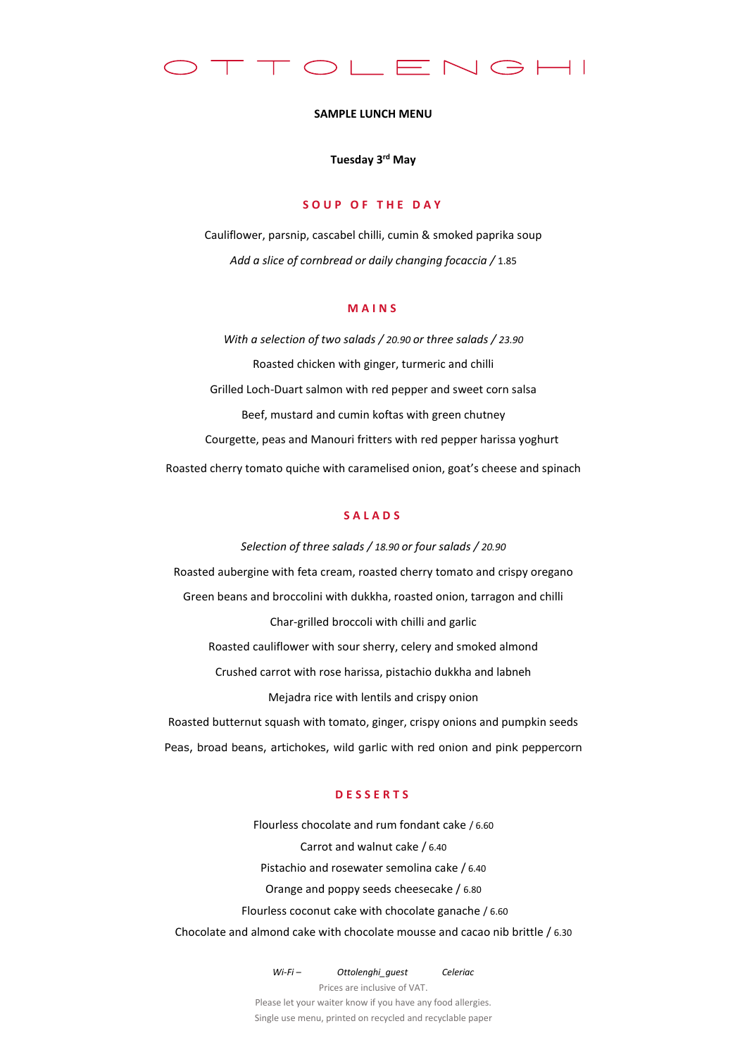

### **SAMPLE LUNCH MENU**

### **Tuesday 3 rd May**

## **S O U P O F T H E D A Y**

Cauliflower, parsnip, cascabel chilli, cumin & smoked paprika soup *Add a slice of cornbread or daily changing focaccia /* 1.85

# **M A I N S**

*With a selection of two salads / 20.90 or three salads / 23.90* Roasted chicken with ginger, turmeric and chilli Grilled Loch-Duart salmon with red pepper and sweet corn salsa Beef, mustard and cumin koftas with green chutney Courgette, peas and Manouri fritters with red pepper harissa yoghurt Roasted cherry tomato quiche with caramelised onion, goat's cheese and spinach

## **S A L A D S**

*Selection of three salads / 18.90 or four salads / 20.90* Roasted aubergine with feta cream, roasted cherry tomato and crispy oregano Green beans and broccolini with dukkha, roasted onion, tarragon and chilli Char-grilled broccoli with chilli and garlic Roasted cauliflower with sour sherry, celery and smoked almond Crushed carrot with rose harissa, pistachio dukkha and labneh Mejadra rice with lentils and crispy onion Roasted butternut squash with tomato, ginger, crispy onions and pumpkin seeds

## **D E S S E R T S**

Peas, broad beans, artichokes, wild garlic with red onion and pink peppercorn

Flourless chocolate and rum fondant cake / 6.60 Carrot and walnut cake / 6.40 Pistachio and rosewater semolina cake / 6.40 Orange and poppy seeds cheesecake / 6.80 Flourless coconut cake with chocolate ganache / 6.60 Chocolate and almond cake with chocolate mousse and cacao nib brittle / 6.30

> *Wi-Fi – Ottolenghi\_guest Celeriac* Prices are inclusive of VAT. Please let your waiter know if you have any food allergies. Single use menu, printed on recycled and recyclable paper